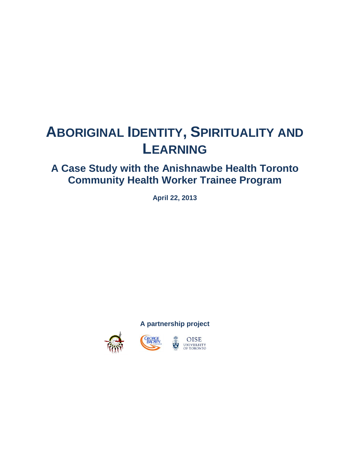# **ABORIGINAL IDENTITY, SPIRITUALITY AND LEARNING**

# **A Case Study with the Anishnawbe Health Toronto Community Health Worker Trainee Program**

**April 22, 2013**

**A partnership project**





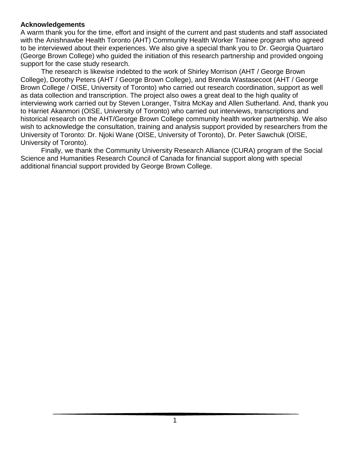#### **Acknowledgements**

A warm thank you for the time, effort and insight of the current and past students and staff associated with the Anishnawbe Health Toronto (AHT) Community Health Worker Trainee program who agreed to be interviewed about their experiences. We also give a special thank you to Dr. Georgia Quartaro (George Brown College) who guided the initiation of this research partnership and provided ongoing support for the case study research.

The research is likewise indebted to the work of Shirley Morrison (AHT / George Brown College), Dorothy Peters (AHT / George Brown College), and Brenda Wastasecoot (AHT / George Brown College / OISE, University of Toronto) who carried out research coordination, support as well as data collection and transcription. The project also owes a great deal to the high quality of interviewing work carried out by Steven Loranger, Tsitra McKay and Allen Sutherland. And, thank you to Harriet Akanmori (OISE, University of Toronto) who carried out interviews, transcriptions and historical research on the AHT/George Brown College community health worker partnership. We also wish to acknowledge the consultation, training and analysis support provided by researchers from the University of Toronto: Dr. Njoki Wane (OISE, University of Toronto), Dr. Peter Sawchuk (OISE, University of Toronto).

Finally, we thank the Community University Research Alliance (CURA) program of the Social Science and Humanities Research Council of Canada for financial support along with special additional financial support provided by George Brown College.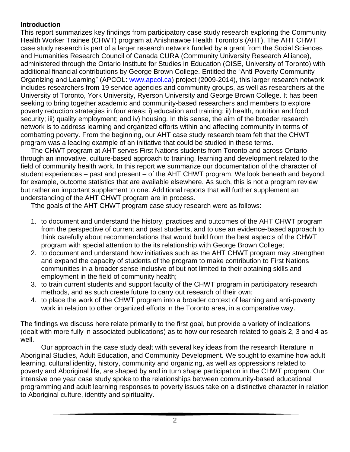# **Introduction**

This report summarizes key findings from participatory case study research exploring the Community Health Worker Trainee (CHWT) program at Anishnawbe Health Toronto's (AHT). The AHT CHWT case study research is part of a larger research network funded by a grant from the Social Sciences and Humanities Research Council of Canada CURA (Community University Research Alliance), administered through the Ontario Institute for Studies in Education (OISE, University of Toronto) with additional financial contributions by George Brown College. Entitled the "Anti-Poverty Community Organizing and Learning" (APCOL: [www.apcol.ca\)](http://www.apcol.ca/) project (2009-2014), this larger research network includes researchers from 19 service agencies and community groups, as well as researchers at the University of Toronto, York University, Ryerson University and George Brown College. It has been seeking to bring together academic and community-based researchers and members to explore poverty reduction strategies in four areas: i) education and training; ii) health, nutrition and food security; iii) quality employment; and iv) housing. In this sense, the aim of the broader research network is to address learning and organized efforts within and affecting community in terms of combatting poverty. From the beginning, our AHT case study research team felt that the CHWT program was a leading example of an initiative that could be studied in these terms.

The CHWT program at AHT serves First Nations students from Toronto and across Ontario through an innovative, culture-based approach to training, learning and development related to the field of community health work. In this report we summarize our documentation of the character of student experiences – past and present – of the AHT CHWT program. We look beneath and beyond, for example, outcome statistics that are available elsewhere. As such, this is not a program review but rather an important supplement to one. Additional reports that will further supplement an understanding of the AHT CHWT program are in process.

Tthe goals of the AHT CHWT program case study research were as follows:

- 1. to document and understand the history, practices and outcomes of the AHT CHWT program from the perspective of current and past students, and to use an evidence-based approach to think carefully about recommendations that would build from the best aspects of the CHWT program with special attention to the its relationship with George Brown College;
- 2. to document and understand how initiatives such as the AHT CHWT program may strengthen and expand the capacity of students of the program to make contribution to First Nations communities in a broader sense inclusive of but not limited to their obtaining skills and employment in the field of community health;
- 3. to train current students and support faculty of the CHWT program in participatory research methods, and as such create future to carry out research of their own;
- 4. to place the work of the CHWT program into a broader context of learning and anti-poverty work in relation to other organized efforts in the Toronto area, in a comparative way.

The findings we discuss here relate primarily to the first goal, but provide a variety of indications (dealt with more fully in associated publications) as to how our research related to goals 2, 3 and 4 as well.

Our approach in the case study dealt with several key ideas from the research literature in Aboriginal Studies, Adult Education, and Community Development. We sought to examine how adult learning, cultural identity, history, community and organizing, as well as oppressions related to poverty and Aboriginal life, are shaped by and in turn shape participation in the CHWT program. Our intensive one year case study spoke to the relationships between community-based educational programming and adult learning responses to poverty issues take on a distinctive character in relation to Aboriginal culture, identity and spirituality.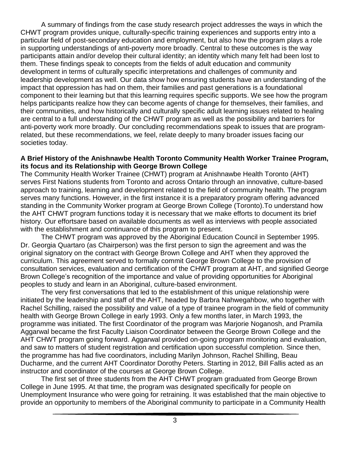A summary of findings from the case study research project addresses the ways in which the CHWT program provides unique, culturally-specific training experiences and supports entry into a particular field of post-secondary education and employment, but also how the program plays a role in supporting understandings of anti-poverty more broadly. Central to these outcomes is the way participants attain and/or develop their cultural identity; an identity which many felt had been lost to them. These findings speak to concepts from the fields of adult education and community development in terms of culturally specific interpretations and challenges of community and leadership development as well. Our data show how ensuring students have an understanding of the impact that oppression has had on them, their families and past generations is a foundational component to their learning but that this learning requires specific supports. We see how the program helps participants realize how they can become agents of change for themselves, their families, and their communities, and how historically and culturally specific adult learning issues related to healing are central to a full understanding of the CHWT program as well as the possibility and barriers for anti-poverty work more broadly. Our concluding recommendations speak to issues that are programrelated, but these recommendations, we feel, relate deeply to many broader issues facing our societies today.

#### **A Brief History of the Anishnawbe Health Toronto Community Health Worker Trainee Program, its focus and its Relationship with George Brown College**

The Community Health Worker Trainee (CHWT) program at Anishnawbe Health Toronto (AHT) serves First Nations students from Toronto and across Ontario through an innovative, culture-based approach to training, learning and development related to the field of community health. The program serves many functions. However, in the first instance it is a preparatory program offering advanced standing in the Community Worker program at George Brown College (Toronto).To understand how the AHT CHWT program functions today it is necessary that we make efforts to document its brief history. Our effortsare based on available documents as well as interviews with people associated with the establishment and continuance of this program to present.

The CHWT program was approved by the Aboriginal Education Council in September 1995. Dr. Georgia Quartaro (as Chairperson) was the first person to sign the agreement and was the original signatory on the contract with George Brown College and AHT when they approved the curriculum. This agreement served to formally commit George Brown College to the provision of consultation services, evaluation and certification of the CHWT program at AHT, and signified George Brown College's recognition of the importance and value of providing opportunities for Aboriginal peoples to study and learn in an Aboriginal, culture-based environment.

The very first conversations that led to the establishment of this unique relationship were initiated by the leadership and staff of the AHT, headed by Barbra Nahwegahbow, who together with Rachel Schilling, raised the possibility and value of a type of trainee program in the field of community health with George Brown College in early 1993. Only a few months later, in March 1993, the programme was initiated. The first Coordinator of the program was Marjorie Noganosh, and Pramila Aggarwal became the first Faculty Liaison Coordinator between the George Brown College and the AHT CHWT program going forward. Aggarwal provided on-going program monitoring and evaluation, and saw to matters of student registration and certification upon successful completion. Since then, the programme has had five coordinators, including Marilyn Johnson, Rachel Shilling, Beau Ducharme, and the current AHT Coordinator Dorothy Peters. Starting in 2012, Bill Fallis acted as an instructor and coordinator of the courses at George Brown College.

The first set of three students from the AHT CHWT program graduated from George Brown College in June 1995. At that time, the program was designated specifically for people on Unemployment Insurance who were going for retraining. It was established that the main objective to provide an opportunity to members of the Aboriginal community to participate in a Community Health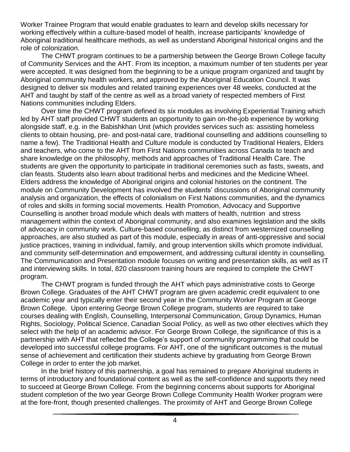Worker Trainee Program that would enable graduates to learn and develop skills necessary for working effectively within a culture-based model of health, increase participants' knowledge of Aboriginal traditional healthcare methods, as well as understand Aboriginal historical origins and the role of colonization.

The CHWT program continues to be a partnership between the George Brown College faculty of Community Services and the AHT. From its inception, a maximum number of ten students per year were accepted. It was designed from the beginning to be a unique program organized and taught by Aboriginal community health workers, and approved by the Aboriginal Education Council. It was designed to deliver six modules and related training experiences over 48 weeks, conducted at the AHT and taught by staff of the centre as well as a broad variety of respected members of First Nations communities including Elders.

Over time the CHWT program defined its six modules as involving Experiential Training which led by AHT staff provided CHWT students an opportunity to gain on-the-job experience by working alongside staff, e.g. in the Babishkhan Unit (which provides services such as: assisting homeless clients to obtain housing, pre- and post-natal care, traditional counselling and additions counselling to name a few). The Traditional Health and Culture module is conducted by Traditional Healers, Elders and teachers, who come to the AHT from First Nations communities across Canada to teach and share knowledge on the philosophy, methods and approaches of Traditional Health Care. The students are given the opportunity to participate in traditional ceremonies such as fasts, sweats, and clan feasts. Students also learn about traditional herbs and medicines and the Medicine Wheel. Elders address the knowledge of Aboriginal origins and colonial histories on the continent. The module on Community Development has involved the students' discussions of Aboriginal community analysis and organization, the effects of colonialism on First Nations communities, and the dynamics of roles and skills in forming social movements. Health Promotion, Advocacy and Supportive Counselling is another broad module which deals with matters of health, nutrition and stress management within the context of Aboriginal community, and also examines legislation and the skills of advocacy in community work. Culture-based counselling, as distinct from westernized counselling approaches, are also studied as part of this module, especially in areas of anti-oppressive and social justice practices, training in individual, family, and group intervention skills which promote individual, and community self-determination and empowerment, and addressing cultural identity in counselling. The Communication and Presentation module focuses on writing and presentation skills, as well as IT and interviewing skills. In total, 820 classroom training hours are required to complete the CHWT program.

The CHWT program is funded through the AHT which pays administrative costs to George Brown College. Graduates of the AHT CHWT program are given academic credit equivalent to one academic year and typically enter their second year in the Community Worker Program at George Brown College. Upon entering George Brown College program, students are required to take courses dealing with English, Counselling, Interpersonal Communication, Group Dynamics, Human Rights, Sociology, Political Science, Canadian Social Policy, as well as two other electives which they select with the help of an academic advisor. For George Brown College, the significance of this is a partnership with AHT that reflected the College's support of community programming that could be developed into successful college programs. For AHT, one of the significant outcomes is the mutual sense of achievement and certification their students achieve by graduating from George Brown College in order to enter the job market.

In the brief history of this partnership, a goal has remained to prepare Aboriginal students in terms of introductory and foundational content as well as the self-confidence and supports they need to succeed at George Brown College. From the beginning concerns about supports for Aboriginal student completion of the two year George Brown College Community Health Worker program were at the fore-front, though presented challenges. The proximity of AHT and George Brown College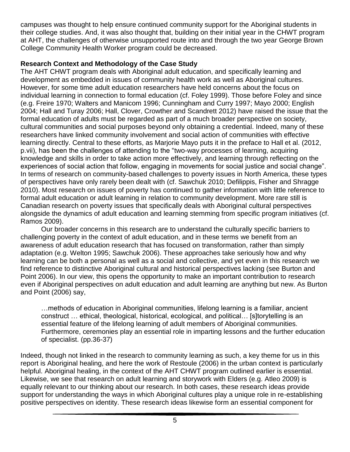campuses was thought to help ensure continued community support for the Aboriginal students in their college studies. And, it was also thought that, building on their initial year in the CHWT program at AHT, the challenges of otherwise unsupported route into and through the two year George Brown College Community Health Worker program could be decreased.

# **Research Context and Methodology of the Case Study**

The AHT CHWT program deals with Aboriginal adult education, and specifically learning and development as embedded in issues of community health work as well as Aboriginal cultures. However, for some time adult education researchers have held concerns about the focus on individual learning in connection to formal education (cf. Foley 1999). Those before Foley and since (e.g. Freire 1970; Walters and Manicom 1996; Cunningham and Curry 1997; Mayo 2000; English 2004; Hall and Turay 2006; Hall, Clover, Crowther and Scandrett 2012) have raised the issue that the formal education of adults must be regarded as part of a much broader perspective on society, cultural communities and social purposes beyond only obtaining a credential. Indeed, many of these researchers have linked community involvement and social action of communities with effective learning directly. Central to these efforts, as Marjorie Mayo puts it in the preface to Hall et al. (2012, p.vii), has been the challenges of attending to the "two-way processes of learning, acquiring knowledge and skills in order to take action more effectively, and learning through reflecting on the experiences of social action that follow, engaging in movements for social justice and social change". In terms of research on community-based challenges to poverty issues in North America, these types of perspectives have only rarely been dealt with (cf. Sawchuk 2010; Defilippis, Fisher and Shragge 2010). Most research on issues of poverty has continued to gather information with little reference to formal adult education or adult learning in relation to community development. More rare still is Canadian research on poverty issues that specifically deals with Aboriginal cultural perspectives alongside the dynamics of adult education and learning stemming from specific program initiatives (cf. Ramos 2009).

Our broader concerns in this research are to understand the culturally specific barriers to challenging poverty in the context of adult education, and in these terms we benefit from an awareness of adult education research that has focused on transformation, rather than simply adaptation (e.g. Welton 1995; Sawchuk 2006). These approaches take seriously how and why learning can be both a personal as well as a social and collective, and yet even in this research we find reference to distinctive Aboriginal cultural and historical perspectives lacking (see Burton and Point 2006). In our view, this opens the opportunity to make an important contribution to research even if Aboriginal perspectives on adult education and adult learning are anything but new. As Burton and Point (2006) say,

…methods of education in Aboriginal communities, lifelong learning is a familiar, ancient construct … ethical, theological, historical, ecological, and political… [s]torytelling is an essential feature of the lifelong learning of adult members of Aboriginal communities. Furthermore, ceremonies play an essential role in imparting lessons and the further education of specialist. (pp.36-37)

Indeed, though not linked in the research to community learning as such, a key theme for us in this report is Aboriginal healing, and here the work of Restoule (2006) in the urban context is particularly helpful. Aboriginal healing, in the context of the AHT CHWT program outlined earlier is essential. Likewise, we see that research on adult learning and storywork with Elders (e.g. Atleo 2009) is equally relevant to our thinking about our research. In both cases, these research ideas provide support for understanding the ways in which Aboriginal cultures play a unique role in re-establishing positive perspectives on identity. These research ideas likewise form an essential component for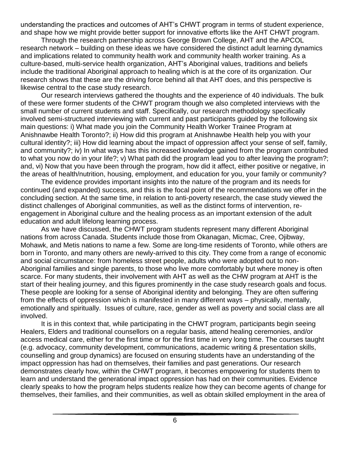understanding the practices and outcomes of AHT's CHWT program in terms of student experience, and shape how we might provide better support for innovative efforts like the AHT CHWT program.

Through the research partnership across George Brown College, AHT and the APCOL research network – building on these ideas we have considered the distinct adult learning dynamics and implications related to community health work and community health worker training. As a culture-based, multi-service health organization, AHT's Aboriginal values, traditions and beliefs include the traditional Aboriginal approach to healing which is at the core of its organization. Our research shows that these are the driving force behind all that AHT does, and this perspective is likewise central to the case study research.

Our research interviews gathered the thoughts and the experience of 40 individuals. The bulk of these were former students of the CHWT program though we also completed interviews with the small number of current students and staff. Specifically, our research methodology specifically involved semi-structured interviewing with current and past participants guided by the following six main questions: i) What made you join the Community Health Worker Trainee Program at Anishnawbe Health Toronto?; ii) How did this program at Anishnawbe Health help you with your cultural identity?; iii) How did learning about the impact of oppression affect your sense of self, family, and community?; iv) In what ways has this increased knowledge gained from the program contributed to what you now do in your life?; v) What path did the program lead you to after leaving the program?; and, vi) Now that you have been through the program, how did it affect, either positive or negative, in the areas of health/nutrition, housing, employment, and education for you, your family or community?

The evidence provides important insights into the nature of the program and its needs for continued (and expanded) success, and this is the focal point of the recommendations we offer in the concluding section. At the same time, in relation to anti-poverty research, the case study viewed the distinct challenges of Aboriginal communities, as well as the distinct forms of intervention, reengagement in Aboriginal culture and the healing process as an important extension of the adult education and adult lifelong learning process.

As we have discussed, the CHWT program students represent many different Aboriginal nations from across Canada. Students include those from Okanagan, Micmac, Cree, Ojibway, Mohawk, and Metis nations to name a few. Some are long-time residents of Toronto, while others are born in Toronto, and many others are newly-arrived to this city. They come from a range of economic and social circumstance: from homeless street people, adults who were adopted out to non-Aboriginal families and single parents, to those who live more comfortably but where money is often scarce. For many students, their involvement with AHT as well as the CHW program at AHT is the start of their healing journey, and this figures prominently in the case study research goals and focus. These people are looking for a sense of Aboriginal identity and belonging. They are often suffering from the effects of oppression which is manifested in many different ways – physically, mentally, emotionally and spiritually. Issues of culture, race, gender as well as poverty and social class are all involved.

It is in this context that, while participating in the CHWT program, participants begin seeing Healers, Elders and traditional counsellors on a regular basis, attend healing ceremonies, and/or access medical care, either for the first time or for the first time in very long time. The courses taught (e.g. advocacy, community development, communications, academic writing & presentation skills, counselling and group dynamics) are focused on ensuring students have an understanding of the impact oppression has had on themselves, their families and past generations. Our research demonstrates clearly how, within the CHWT program, it becomes empowering for students them to learn and understand the generational impact oppression has had on their communities. Evidence clearly speaks to how the program helps students realize how they can become agents of change for themselves, their families, and their communities, as well as obtain skilled employment in the area of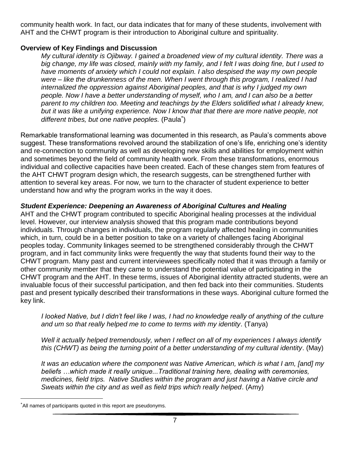community health work. In fact, our data indicates that for many of these students, involvement with AHT and the CHWT program is their introduction to Aboriginal culture and spirituality.

# **Overview of Key Findings and Discussion**

*My cultural identity is Ojibway. I gained a broadened view of my cultural identity. There was a big change, my life was closed, mainly with my family, and I felt I was doing fine, but I used to have moments of anxiety which I could not explain. I also despised the way my own people were – like the drunkenness of the men. When I went through this program, I realized I had internalized the oppression against Aboriginal peoples, and that is why I judged my own people. Now I have a better understanding of myself, who I am, and I can also be a better parent to my children too. Meeting and teachings by the Elders solidified what I already knew, but it was like a unifying experience. Now I know that that there are more native people, not different tribes, but one native peoples.* (Paula )

Remarkable transformational learning was documented in this research, as Paula's comments above suggest. These transformations revolved around the stabilization of one's life, enriching one's identity and re-connection to community as well as developing new skills and abilities for employment within and sometimes beyond the field of community health work. From these transformations, enormous individual and collective capacities have been created. Each of these changes stem from features of the AHT CHWT program design which, the research suggests, can be strengthened further with attention to several key areas. For now, we turn to the character of student experience to better understand how and why the program works in the way it does.

# *Student Experience: Deepening an Awareness of Aboriginal Cultures and Healing*

AHT and the CHWT program contributed to specific Aboriginal healing processes at the individual level. However, our interview analysis showed that this program made contributions beyond individuals. Through changes in individuals, the program regularly affected healing in communities which, in turn, could be in a better position to take on a variety of challenges facing Aboriginal peoples today. Community linkages seemed to be strengthened considerably through the CHWT program, and in fact community links were frequently the way that students found their way to the CHWT program. Many past and current interviewees specifically noted that it was through a family or other community member that they came to understand the potential value of participating in the CHWT program and the AHT. In these terms, issues of Aboriginal identity attracted students, were an invaluable focus of their successful participation, and then fed back into their communities. Students past and present typically described their transformations in these ways. Aboriginal culture formed the key link.

*I looked Native, but I didn't feel like I was, I had no knowledge really of anything of the culture and um so that really helped me to come to terms with my identity*. (Tanya)

*Well it actually helped tremendously, when I reflect on all of my experiences I always identify this (CHWT) as being the turning point of a better understanding of my cultural identity*. (May)

*It was an education where the component was Native American, which is what I am, [and] my beliefs …which made it really unique...Traditional training here, dealing with ceremonies, medicines, field trips. Native Studies within the program and just having a Native circle and Sweats within the city and as well as field trips which really helped*. (Amy)

 $\overline{a}$ 

All names of participants quoted in this report are pseudonyms.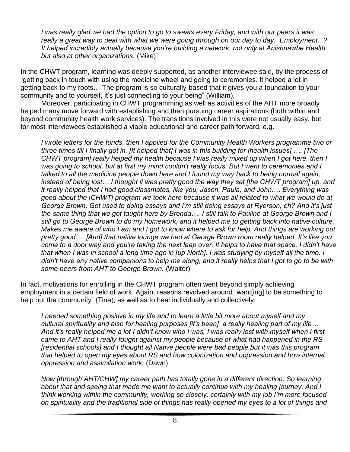*I was really glad we had the option to go to sweats every Friday, and with our peers it was really a great way to deal with what we were going through on our day to day. Employment...? It helped incredibly actually because you're building a network, not only at Anishnawbe Health but also at other organizations.* (Mike)

In the CHWT program, learning was deeply supported, as another interviewee said, by the process of "getting back in touch with using the medicine wheel and going to ceremonies. It helped a lot in getting back to my roots… The program is so culturally-based that it gives you a foundation to your community and to yourself, it's just connecting to your being" (William).

Moreover, participating in CHWT programming as well as activities of the AHT more broadly helped many move forward with establishing and then pursuing career aspirations (both within and beyond community health work services). The transitions involved in this were not usually easy, but for most interviewees established a viable educational and career path forward, e.g.

*I wrote letters for the funds, then I applied for the Community Health Workers programme two or three times till I finally got in. [It helped that] I was in this building for [health issues] …. [The CHWT program] really helped my health because I was really mixed up when I got here, then I was going to school, but at first my mind couldn't really focus. But I went to ceremonies and I talked to all the medicine people down here and I found my way back to being normal again, instead of being lost… I thought it was pretty good the way they set [the CHWT program] up, and it really helped that I had good classmates, like you, Jason, Paula, and John.… Everything was good about the [CHWT] program we took here because it was all related to what we would do at George Brown. Got used to doing essays and I'm still doing essays at Ryerson, eh? And it's just the same thing that we got taught here by Brenda…. I still talk to Pauline at George Brown and I still go to George Brown to do my homework, and it helped me to getting back into native culture. Makes me aware of who I am and I got to know where to ask for help. And things are working out pretty good…. [And] that native lounge we had at George Brown room really helped. It's like you come to a door way and you're taking the next leap over. It helps to have that space. I didn't have that when I was in school a long time ago in [up North]. I was studying by myself all the time. I didn't have any native companions to help me along, and it really helps that I got to go to be with some peers from AHT to George Brown.* (Walter)

In fact, motivations for enrolling in the CHWT program often went beyond simply achieving employment in a certain field of work. Again, reasons revolved around "want[ing] to be something to help out the community" (Tina), as well as to heal individually and collectively:

*I needed something positive in my life and to learn a little bit more about myself and my cultural spirituality and also for healing purposes [it's been] a really healing part of my life… And it's really helped me a lot I didn't know who I was, I was really lost with myself when I first came to AHT and I really fought against my people because of what had happened in the RS [residential schools] and I thought all Native people were bad people but it was this program that helped to open my eyes about RS and how colonization and oppression and how internal oppression and assimilation work.* (Dawn)

*Now [through AHT/CHW] my career path has totally gone in a different direction. So learning about that and seeing that made me want to actually continue with my healing journey. And I think working within the community, working so closely, certainly with my job I'm more focused on spirituality and the traditional side of things has really opened my eyes to a lot of things and*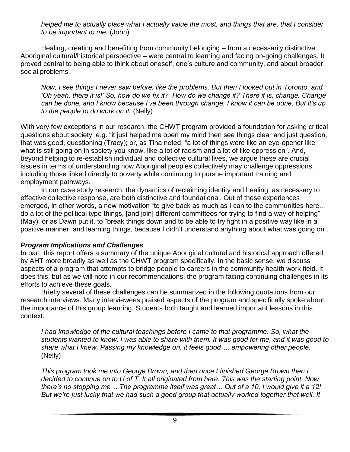*helped me to actually place what I actually value the most, and things that are, that I consider to be important to me.* (John)

Healing, creating and benefiting from community belonging – from a necessarily distinctive Aboriginal cultural/historical perspective – were central to learning and facing on-going challenges. It proved central to being able to think about oneself, one's culture and community, and about broader social problems.

*Now, I see things I never saw before, like the problems. But then I looked out in Toronto, and 'Oh yeah, there it is!' So, how do we fix it? How do we change it? There it is: change. Change can be done, and I know because I've been through change. I know it can be done. But it's up to the people to do work on it.* (Nelly)

With very few exceptions in our research, the CHWT program provided a foundation for asking critical questions about society: e.g. "it just helped me open my mind then see things clear and just question, that was good, questioning (Tracy); or, as Tina noted, "a lot of things were like an eye-opener like what is still going on in society you know, like a lot of racism and a lot of like oppression". And, beyond helping to re-establish individual and collective cultural lives, we argue these are crucial issues in terms of understanding how Aboriginal peoples collectively may challenge oppressions, including those linked directly to poverty while continuing to pursue important training and employment pathways.

In our case study research, the dynamics of reclaiming identity and healing, as necessary to effective collective response, are both distinctive and foundational. Out of these experiences emerged, in other words, a new motivation "to give back as much as I can to the communities here... do a lot of the political type things, [and join] different committees for trying to find a way of helping" (May); or as Dawn put it, to "break things down and to be able to try fight in a positive way like in a positive manner, and learning things, because I didn't understand anything about what was going on".

#### *Program Implications and Challenges*

In part, this report offers a summary of the unique Aboriginal cultural and historical approach offered by AHT more broadly as well as the CHWT program specifically. In the basic sense, we discuss aspects of a program that attempts to bridge people to careers in the community health work field. It does this, but as we will note in our recommendations, the program facing continuing challenges in its efforts to achieve these goals.

Briefly several of these challenges can be summarized in the following quotations from our research interviews. Many interviewees praised aspects of the program and specifically spoke about the importance of this group learning. Students both taught and learned important lessons in this context.

*I had knowledge of the cultural teachings before I came to that programme. So, what the students wanted to know, I was able to share with them. It was good for me, and it was good to share what I knew. Passing my knowledge on, it feels good…. empowering other people.* (Nelly)

*This program took me into George Brown, and then once I finished George Brown then I decided to continue on to U of T. It all originated from here. This was the starting point. Now there's no stopping me… The programme itself was great… Out of a 10, I would give it a 12! But we're just lucky that we had such a good group that actually worked together that well. It*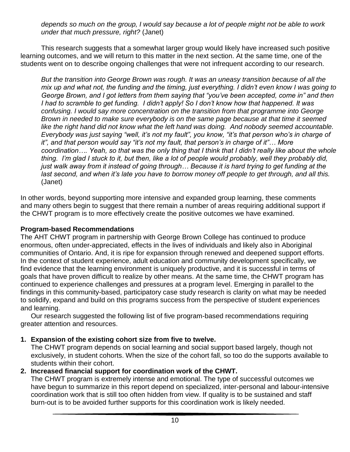*depends so much on the group, I would say because a lot of people might not be able to work under that much pressure, right?* (Janet)

This research suggests that a somewhat larger group would likely have increased such positive learning outcomes, and we will return to this matter in the next section. At the same time, one of the students went on to describe ongoing challenges that were not infrequent according to our research.

*But the transition into George Brown was rough. It was an uneasy transition because of all the mix up and what not, the funding and the timing, just everything. I didn't even know I was going to George Brown, and I got letters from them saying that "you've been accepted, come in" and then I had to scramble to get funding. I didn't apply! So I don't know how that happened. It was confusing. I would say more concentration on the transition from that programme into George Brown in needed to make sure everybody is on the same page because at that time it seemed like the right hand did not know what the left hand was doing. And nobody seemed accountable. Everybody was just saying "well, it's not my fault", you know, "it's that person who's in charge of it", and that person would say "it's not my fault, that person's in charge of it"… More coordination…. Yeah, so that was the only thing that I think that I didn't really like about the whole thing. I'm glad I stuck to it, but then, like a lot of people would probably, well they probably did, just walk away from it instead of going through… Because it is hard trying to get funding at the last second, and when it's late you have to borrow money off people to get through, and all this.* (Janet)

In other words, beyond supporting more intensive and expanded group learning, these comments and many others begin to suggest that there remain a number of areas requiring additional support if the CHWT program is to more effectively create the positive outcomes we have examined.

## **Program-based Recommendations**

The AHT CHWT program in partnership with George Brown College has continued to produce enormous, often under-appreciated, effects in the lives of individuals and likely also in Aboriginal communities of Ontario. And, it is ripe for expansion through renewed and deepened support efforts. In the context of student experience, adult education and community development specifically, we find evidence that the learning environment is uniquely productive, and it is successful in terms of goals that have proven difficult to realize by other means. At the same time, the CHWT program has continued to experience challenges and pressures at a program level. Emerging in parallel to the findings in this community-based, participatory case study research is clarity on what may be needed to solidify, expand and build on this programs success from the perspective of student experiences and learning.

Our research suggested the following list of five program-based recommendations requiring greater attention and resources.

# **1. Expansion of the existing cohort size from five to twelve.**

The CHWT program depends on social learning and social support based largely, though not exclusively, in student cohorts. When the size of the cohort fall, so too do the supports available to students within their cohort.

# **2. Increased financial support for coordination work of the CHWT.**

The CHWT program is extremely intense and emotional. The type of successful outcomes we have begun to summarize in this report depend on specialized, inter-personal and labour-intensive coordination work that is still too often hidden from view. If quality is to be sustained and staff burn-out is to be avoided further supports for this coordination work is likely needed.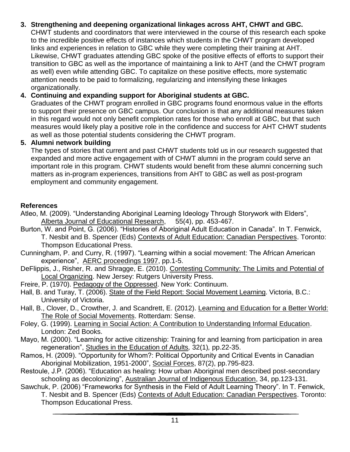# **3. Strengthening and deepening organizational linkages across AHT, CHWT and GBC.**

CHWT students and coordinators that were interviewed in the course of this research each spoke to the incredible positive effects of instances which students in the CHWT program developed links and experiences in relation to GBC while they were completing their training at AHT. Likewise, CHWT graduates attending GBC spoke of the positive effects of efforts to support their transition to GBC as well as the importance of maintaining a link to AHT (and the CHWT program as well) even while attending GBC. To capitalize on these positive effects, more systematic attention needs to be paid to formalizing, regularizing and intensifying these linkages organizationally.

# **4. Continuing and expanding support for Aboriginal students at GBC.**

Graduates of the CHWT program enrolled in GBC programs found enormous value in the efforts to support their presence on GBC campus. Our conclusion is that any additional measures taken in this regard would not only benefit completion rates for those who enroll at GBC, but that such measures would likely play a positive role in the confidence and success for AHT CHWT students as well as those potential students considering the CHWT program.

## **5. Alumni network building**

The types of stories that current and past CHWT students told us in our research suggested that expanded and more active engagement with of CHWT alumni in the program could serve an important role in this program. CHWT students would benefit from these alumni concerning such matters as in-program experiences, transitions from AHT to GBC as well as post-program employment and community engagement.

# **References**

- Atleo, M. (2009). "Understanding Aboriginal Learning Ideology Through Storywork with Elders", Alberta Journal of Educational Research, 55(4), pp. 453-467.
- Burton, W. and Point, G. (2006). "Histories of Aboriginal Adult Education in Canada". In T. Fenwick, T. Nesbit and B. Spencer (Eds) Contexts of Adult Education: Canadian Perspectives. Toronto: Thompson Educational Press.
- Cunningham, P. and Curry, R. (1997). "Learning within a social movement: The African American experience", AERC proceedings 1997, pp.1-5.
- DeFlippis, J., Risher, R. and Shragge, E. (2010). Contesting Community: The Limits and Potential of Local Organizing. New Jersey: Rutgers University Press.
- Freire, P. (1970). Pedagogy of the Oppressed. New York: Continuum.
- Hall, B. and Turay, T. (2006). State of the Field Report: Social Movement Learning. Victoria, B.C.: University of Victoria.
- Hall, B., Clover, D., Crowther, J. and Scandrett, E. (2012). Learning and Education for a Better World: The Role of Social Movements. Rotterdam: Sense.
- Foley, G. (1999). Learning in Social Action: A Contribution to Understanding Informal Education. London: Zed Books.
- Mayo, M. (2000). "Learning for active citizenship: Training for and learning from participation in area regeneration", Studies in the Education of Adults*,* 32(1)*,* pp.22-35.
- Ramos, H. (2009). "Opportunity for Whom?: Political Opportunity and Critical Events in Canadian Aboriginal Mobilization, 1951-2000", Social Forces, 87(2), pp.795-823.
- Restoule, J.P. (2006). "Education as healing: How urban Aboriginal men described post-secondary schooling as decolonizing", Australian Journal of Indigenous Education, 34, pp.123-131.
- Sawchuk, P. (2006) "Frameworks for Synthesis in the Field of Adult Learning Theory". In T. Fenwick, T. Nesbit and B. Spencer (Eds) Contexts of Adult Education: Canadian Perspectives. Toronto: Thompson Educational Press.